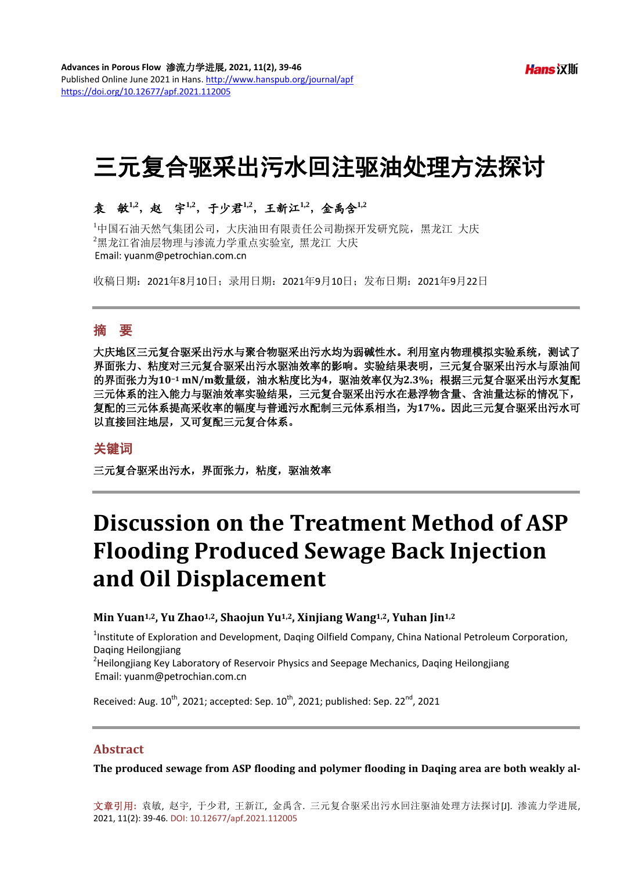# 三元复合驱采出污水回注驱油处理方法探讨

# 袁敏**1,2**,赵宇**1,2**,于少君**1,2**,王新江**1,2**,金禹含**1,2**

1 中国石油天然气集团公司,大庆油田有限责任公司勘探开发研究院,黑龙江 大庆 2 黑龙江省油层物理与渗流力学重点实验室, 黑龙江 大庆

收稿日期:2021年8月10日;录用日期:2021年9月10日;发布日期:2021年9月22日

# 摘 要

大庆地区三元复合驱采出污水与聚合物驱采出污水均为弱碱性水。利用室内物理模拟实验系统,测试了 界面张力、粘度对三元复合驱采出污水驱油效率的影响。实验结果表明,三元复合驱采出污水与原油间 的界面张力为**10−<sup>1</sup> mN/m**数量级,油水粘度比为**4**,驱油效率仅为**2.3%**;根据三元复合驱采出污水复配 三元体系的注入能力与驱油效率实验结果,三元复合驱采出污水在悬浮物含量、含油量达标的情况下, 复配的三元体系提高采收率的幅度与普通污水配制三元体系相当,为**17%**。因此三元复合驱采出污水可 以直接回注地层,又可复配三元复合体系。

## 关键词

三元复合驱采出污水,界面张力,粘度,驱油效率

# **Discussion on the Treatment Method of ASP Flooding Produced Sewage Back Injection and Oil Displacement**

#### **Min Yuan1,2, Yu Zhao1,2, Shaojun Yu1,2, Xinjiang Wang1,2, Yuhan Jin1,2**

<sup>1</sup>Institute of Exploration and Development, Daqing Oilfield Company, China National Petroleum Corporation, Daqing Heilongjiang <sup>2</sup>

 $A$ Heilongjiang Key Laboratory of Reservoir Physics and Seepage Mechanics, Daqing Heilongjiang Email: yuanm@petrochian.com.cn

Received: Aug.  $10^{th}$ , 2021; accepted: Sep.  $10^{th}$ , 2021; published: Sep. 22<sup>nd</sup>, 2021

#### **Abstract**

**The produced sewage from ASP flooding and polymer flooding in Daqing area are both weakly al-**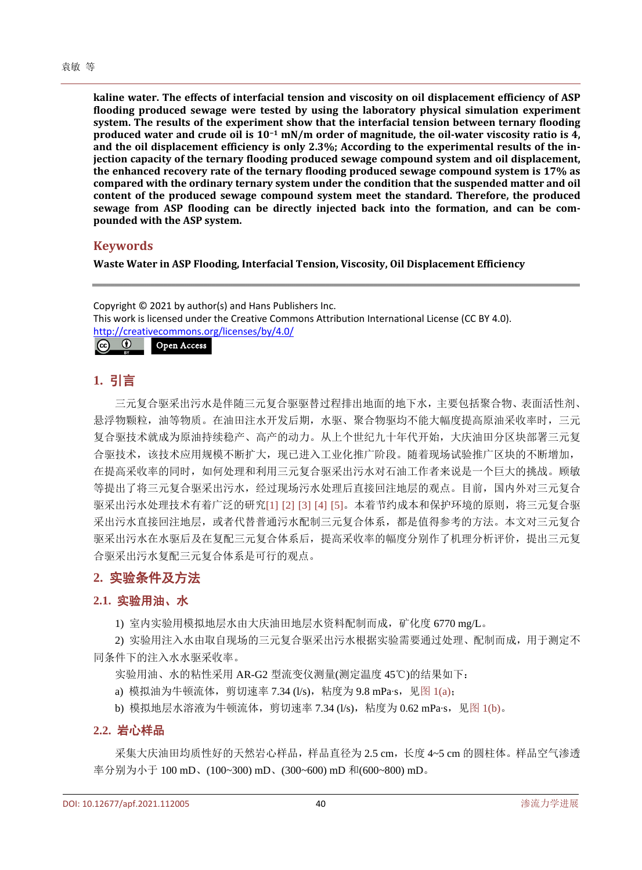**kaline water. The effects of interfacial tension and viscosity on oil displacement efficiency of ASP flooding produced sewage were tested by using the laboratory physical simulation experiment system. The results of the experiment show that the interfacial tension between ternary flooding produced water and crude oil is 10−<sup>1</sup> mN/m order of magnitude, the oil-water viscosity ratio is 4, and the oil displacement efficiency is only 2.3%; According to the experimental results of the injection capacity of the ternary flooding produced sewage compound system and oil displacement, the enhanced recovery rate of the ternary flooding produced sewage compound system is 17% as compared with the ordinary ternary system under the condition that the suspended matter and oil content of the produced sewage compound system meet the standard. Therefore, the produced sewage from ASP flooding can be directly injected back into the formation, and can be compounded with the ASP system.**

#### **Keywords**

**Waste Water in ASP Flooding, Interfacial Tension, Viscosity, Oil Displacement Efficiency**

Copyright © 2021 by author(s) and Hans Publishers Inc. This work is licensed under the Creative Commons Attribution International License (CC BY 4.0). <http://creativecommons.org/licenses/by/4.0/>  $\boxed{6}$   $\boxed{0}$ Open Access

**1.** 引言

三元复合驱采出污水是伴随三元复合驱驱替过程排出地面的地下水,主要包括聚合物、表面活性剂、 悬浮物颗粒,油等物质。在油田注水开发后期,水驱、聚合物驱均不能大幅度提高原油采收率时,三元 复合驱技术就成为原油持续稳产、高产的动力。从上个世纪九十年代开始,大庆油田分区块部署三元复 合驱技术,该技术应用规模不断扩大,现已进入工业化推广阶段。随着现场试验推广区块的不断增加, 在提高采收率的同时,如何处理和利用三元复合驱采出污水对石油工作者来说是一个巨大的挑战。顾敏 等提出了将三元复合驱采出污水,经过现场污水处理后直接回注地层的观点。目前,国内外对三元复合 驱采出污水处理技术有着广泛的研究[\[1\]](#page-6-0) [\[2\]](#page-6-1) [\[3\]](#page-6-2) [\[4\]](#page-6-3) [\[5\]](#page-6-4)。本着节约成本和保护环境的原则, 将三元复合驱 采出污水直接回注地层,或者代替普通污水配制三元复合体系,都是值得参考的方法。本文对三元复合 驱采出污水在水驱后及在复配三元复合体系后,提高采收率的幅度分别作了机理分析评价,提出三元复 合驱采出污水复配三元复合体系是可行的观点。

## **2.** 实验条件及方法

#### **2.1.** 实验用油、水

1) 室内实验用模拟地层水由大庆油田地层水资料配制而成,矿化度 6770 mg/L。

2) 实验用注入水由取自现场的三元复合驱采出污水根据实验需要通过处理、配制而成,用于测定不 同条件下的注入水水驱采收率。

实验用油、水的粘性采用 AR-G2 型流变仪测量(测定温度 45℃)的结果如下:

a) 模拟油为牛顿流体, 剪切速率 7.34 (l/s), 粘度为 9.8 mPa⋅s, 见图 [1\(a\)](#page-2-0);

b) 模拟地层水溶液为牛顿流体, 剪切速率 7.34 (l/s), 粘度为 0.62 mPa·s, 见图 [1\(b\)](#page-2-0)。

#### **2.2.** 岩心样品

采集大庆油田均质性好的天然岩心样品,样品直径为 2.5 cm,长度 4~5 cm 的圆柱体。样品空气渗透 率分别为小于 100 mD、(100~300) mD、(300~600) mD 和(600~800) mD。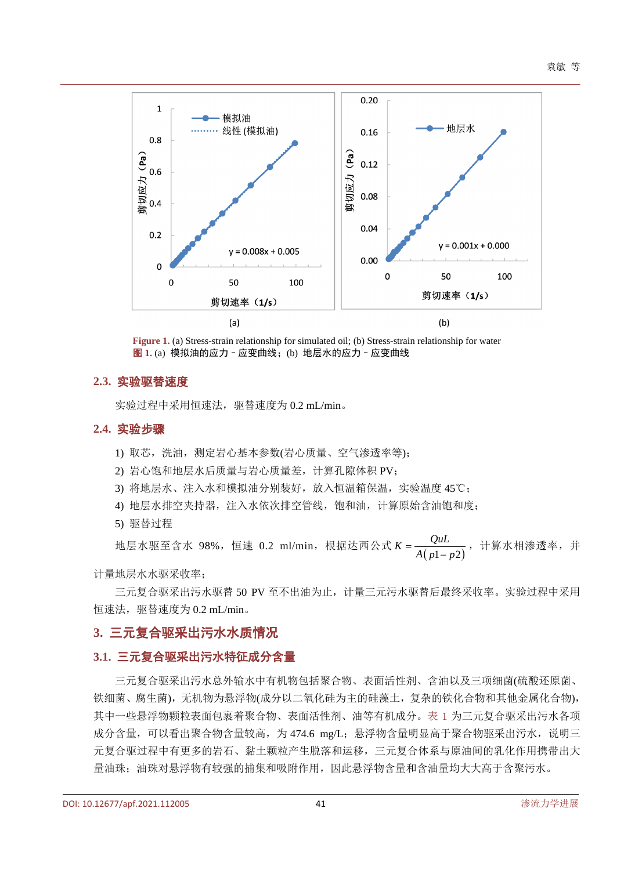<span id="page-2-0"></span>

**Figure 1.** (a) Stress-strain relationship for simulated oil; (b) Stress-strain relationship for water 图 **1.** (a) 模拟油的应力–应变曲线;(b) 地层水的应力–应变曲线

#### **2.3.** 实验驱替速度

实验过程中采用恒速法,驱替速度为 0.2 mL/min。

#### **2.4.** 实验步骤

- 1) 取芯,洗油,测定岩心基本参数(岩心质量、空气渗透率等);
- 2) 岩心饱和地层水后质量与岩心质量差,计算孔隙体积 PV;
- 3) 将地层水、注入水和模拟油分别装好,放入恒温箱保温,实验温度 45℃;
- 4) 地层水排空夹持器,注入水依次排空管线,饱和油,计算原始含油饱和度;
- 5) 驱替过程

地层水驱至含水 98%,恒速 0.2 ml/min,根据达西公式 *K* =  $\frac{Q u L}{A \left( p1-p2 \right)}$  ,计算水相渗透率,并

计量地层水水驱采收率;

三元复合驱采出污水驱替 50 PV 至不出油为止, 计量三元污水驱替后最终采收率。实验过程中采用 恒速法,驱替速度为 0.2 mL/min。

## **3.** 三元复合驱采出污水水质情况

#### **3.1.** 三元复合驱采出污水特征成分含量

三元复合驱采出污水总外输水中有机物包括聚合物、表面活性剂、含油以及三项细菌(硫酸还原菌、 铁细菌、腐生菌),无机物为悬浮物(成分以二氧化硅为主的硅藻土,复杂的铁化合物和其他金属化合物), 其中一些悬浮物颗粒表面包裹着聚合物、表面活性剂、油等有机成分[。表](#page-3-0) 1 为三元复合驱采出污水各项 成分含量,可以看出聚合物含量较高,为 474.6 mg/L; 悬浮物含量明显高于聚合物驱采出污水, 说明三 元复合驱过程中有更多的岩石、黏土颗粒产生脱落和运移,三元复合体系与原油间的乳化作用携带出大 量油珠;油珠对悬浮物有较强的捕集和吸附作用,因此悬浮物含量和含油量均大大高于含聚污水。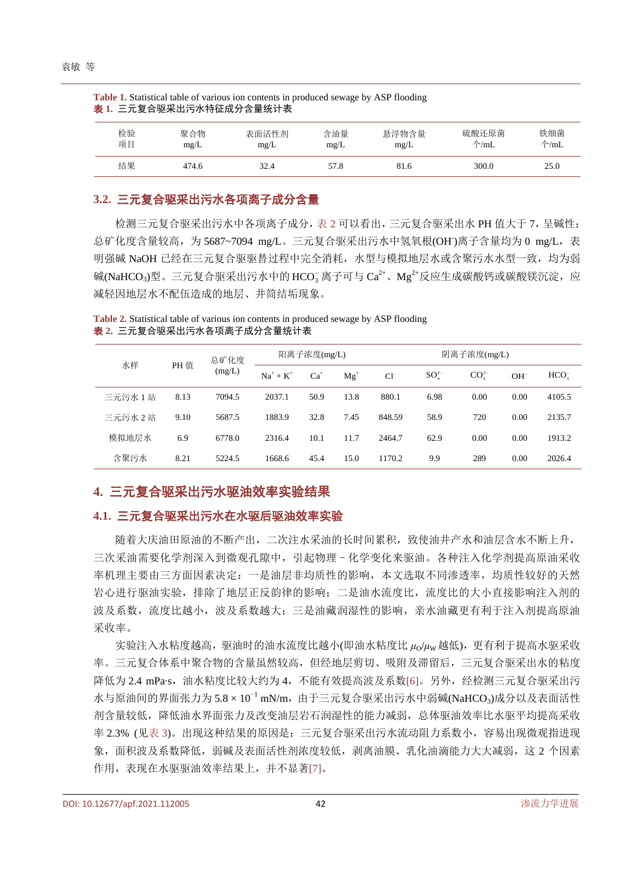| 表 1. 三元复合驱采出污水特征成分含量统计表 |             |               |             |               |                         |                       |  |  |
|-------------------------|-------------|---------------|-------------|---------------|-------------------------|-----------------------|--|--|
| 检验<br>项目                | 聚合物<br>mg/L | 表面活性剂<br>mg/L | 含油量<br>mg/L | 悬浮物含量<br>mg/L | 硫酸还原菌<br>$\uparrow$ /mL | 铁细菌<br>$\uparrow$ /mL |  |  |
| 结果                      | 474.6       | 32.4          | 57.8        | 81.6          | 300.0                   | 25.0                  |  |  |

<span id="page-3-0"></span>**Table 1.** Statistical table of various ion contents in produced sewage by ASP flooding

## **3.2.** 三元复合驱采出污水各项离子成分含量

检测三元复合驱采出污水中各项离子成分[,表](#page-3-1) 2 可以看出,三元复合驱采出水 PH 值大于 7,呈碱性; 总矿化度含量较高,为 5687~7094 mg/L。三元复合驱采出污水中氢氧根(OH)离子含量均为 0 mg/L,表 明强碱 NaOH 已经在三元复合驱驱替过程中完全消耗,水型与模拟地层水或含聚污水水型一致,均为弱 碱(NaHCO3)型。三元复合驱采出污水中的 HCO<sub>3</sub> 离子可与 Ca<sup>2+</sup>、Mg<sup>2+</sup>反应生成碳酸钙或碳酸镁沉淀,应 减轻因地层水不配伍造成的地层、井筒结垢现象。

水样 PH 值 总矿化度 (mg/L) 阳离子浓度 $(mg/L)$  阴离子浓度 $(mg/L)$  $Na^+ + K^+$   $Ca^+$   $Mg^+$   $Cl^ SO_4^2$  $\text{CO}_3^{2-}$  $OH<sup>-</sup>$ HCO<sup>-</sup> 三元污水 1 站 8.13 7094.5 2037.1 50.9 13.8 880.1 6.98 0.00 0.00 4105.5 三元污水 2 站 9.10 5687.5 1883.9 32.8 7.45 848.59 58.9 720 0.00 2135.7 模拟地层水 6.9 6778.0 2316.4 10.1 11.7 2464.7 62.9 0.00 0.00 1913.2 含聚污水 8.21 5224.5 1668.6 45.4 15.0 1170.2 9.9 289 0.00 2026.4

<span id="page-3-1"></span>**Table 2.** Statistical table of various ion contents in produced sewage by ASP flooding 表 **2.** 三元复合驱采出污水各项离子成分含量统计表

# **4.** 三元复合驱采出污水驱油效率实验结果

## **4.1.** 三元复合驱采出污水在水驱后驱油效率实验

随着大庆油田原油的不断产出,二次注水采油的长时间累积,致使油井产水和油层含水不断上升, 三次采油需要化学剂深入到微观孔隙中,引起物理–化学变化来驱油。各种注入化学剂提高原油采收 率机理主要由三方面因素决定:一是油层非均质性的影响,本文选取不同渗透率,均质性较好的天然 岩心进行驱油实验,排除了地层正反韵律的影响;二是油水流度比,流度比的大小直接影响注入剂的 波及系数,流度比越小,波及系数越大;三是油藏润湿性的影响,亲水油藏更有利于注入剂提高原油 采收率。

实验注入水粘度越高,驱油时的油水流度比越小(即油水粘度比 μο/μw越低), 更有利于提高水驱采收 率。三元复合体系中聚合物的含量虽然较高,但经地层剪切、吸附及滞留后,三元复合驱采出水的粘度 降低为 2.4 mPa·s,油水粘度比较大约为 4,不能有效提高波及系数[\[6\]](#page-6-5)。另外,经检测三元复合驱采出污  $k$ 与原油间的界面张力为 $5.8 \times 10^{-1}$  mN/m, 由于三元复合驱采出污水中弱碱(NaHCO3)成分以及表面活性 剂含量较低,降低油水界面张力及改变油层岩石润湿性的能力减弱,总体驱油效率比水驱平均提高采收 率 2.3% ([见表](#page-4-0) 3)。出现这种结果的原因是:三元复合驱采出污水流动阻力系数小, 容易出现微观指进现 象,面积波及系数降低,弱碱及表面活性剂浓度较低,剥离油膜、乳化油滴能力大大减弱,这 2 个因素 作用,表现在水驱驱油效率结果上,并不显著[\[7\]](#page-6-6)。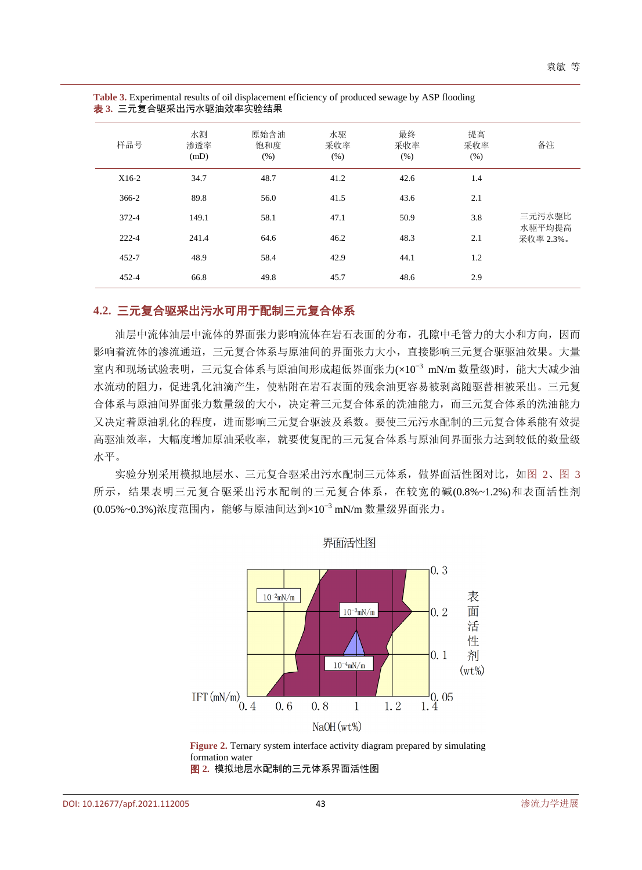| 样品号       | 水测<br>渗透率<br>(mD) | 原始含油<br>饱和度<br>(% ) | 水驱<br>采收率<br>(% ) | 最终<br>采收率<br>(% ) | 提高<br>采收率<br>(% ) | 备注                            |
|-----------|-------------------|---------------------|-------------------|-------------------|-------------------|-------------------------------|
| $X16-2$   | 34.7              | 48.7                | 41.2              | 42.6              | 1.4               | 三元污水驱比<br>水驱平均提高<br>采收率 2.3%。 |
| $366-2$   | 89.8              | 56.0                | 41.5              | 43.6              | 2.1               |                               |
| 372-4     | 149.1             | 58.1                | 47.1              | 50.9              | 3.8               |                               |
| $222 - 4$ | 241.4             | 64.6                | 46.2              | 48.3              | 2.1               |                               |
| $452 - 7$ | 48.9              | 58.4                | 42.9              | 44.1              | 1.2               |                               |
| $452 - 4$ | 66.8              | 49.8                | 45.7              | 48.6              | 2.9               |                               |

<span id="page-4-0"></span>**Table 3.** Experimental results of oil displacement efficiency of produced sewage by ASP flooding 表 **3.** 三元复合驱采出污水驱油效率实验结果

## **4.2.** 三元复合驱采出污水可用于配制三元复合体系

油层中流体油层中流体的界面张力影响流体在岩石表面的分布,孔隙中毛管力的大小和方向,因而 影响着流体的渗流通道,三元复合体系与原油间的界面张力大小,直接影响三元复合驱驱油效果。大量 室内和现场试验表明,三元复合体系与原油间形成超低界面张力(×10<sup>−</sup><sup>3</sup> mN/m 数量级)时,能大大减少油 水流动的阻力,促进乳化油滴产生,使粘附在岩石表面的残余油更容易被剥离随驱替相被采出。三元复 合体系与原油间界面张力数量级的大小,决定着三元复合体系的洗油能力,而三元复合体系的洗油能力 又决定着原油乳化的程度,进而影响三元复合驱波及系数。要使三元污水配制的三元复合体系能有效提 高驱油效率,大幅度增加原油采收率,就要使复配的三元复合体系与原油间界面张力达到较低的数量级 水平。

<span id="page-4-1"></span>实验分别采用模拟地层水、三元复合驱采出污水配制三元体系,做界面活性图对比,[如图](#page-4-1) 2[、图](#page-5-0) 3 所示,结果表明三元复合驱采出污水配制的三元复合体系,在较宽的碱(0.8%~1.2%)和表面活性剂 (0.05%~0.3%)浓度范围内,能够与原油间达到×10<sup>−</sup><sup>3</sup> mN/m 数量级界面张力。



界面活性图

**Figure 2.** Ternary system interface activity diagram prepared by simulating formation water

图 **2.** 模拟地层水配制的三元体系界面活性图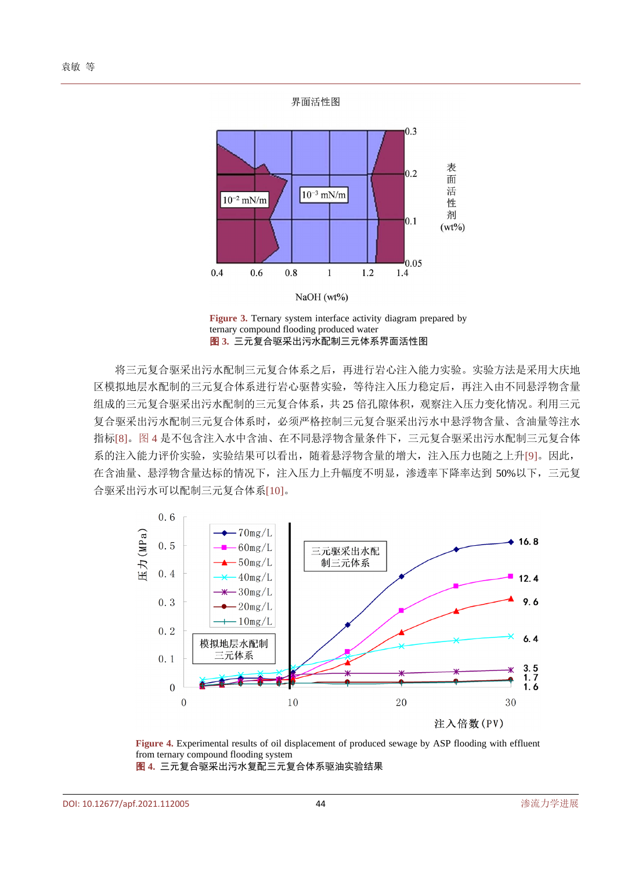<span id="page-5-0"></span>

**Figure 3.** Ternary system interface activity diagram prepared by ternary compound flooding produced water 图 **3.** 三元复合驱采出污水配制三元体系界面活性图

将三元复合驱采出污水配制三元复合体系之后,再进行岩心注入能力实验。实验方法是采用大庆地 区模拟地层水配制的三元复合体系进行岩心驱替实验,等待注入压力稳定后,再注入由不同悬浮物含量 组成的三元复合驱采出污水配制的三元复合体系,共 25 倍孔隙体积,观察注入压力变化情况。利用三元 复合驱采出污水配制三元复合体系时,必须严格控制三元复合驱采出污水中悬浮物含量、含油量等注水 指标[\[8\]](#page-7-0)[。图](#page-5-1) 4 是不包含注入水中含油、在不同悬浮物含量条件下,三元复合驱采出污水配制三元复合体 系的注入能力评价实验,实验结果可以看出,随着悬浮物含量的增大,注入压力也随之上升[\[9\]](#page-7-1)。因此, 在含油量、悬浮物含量达标的情况下,注入压力上升幅度不明显,渗透率下降率达到 50%以下,三元复 合驱采出污水可以配制三元复合体系[\[10\]](#page-7-2)。

<span id="page-5-1"></span>

**Figure 4.** Experimental results of oil displacement of produced sewage by ASP flooding with effluent from ternary compound flooding system 图 **4.** 三元复合驱采出污水复配三元复合体系驱油实验结果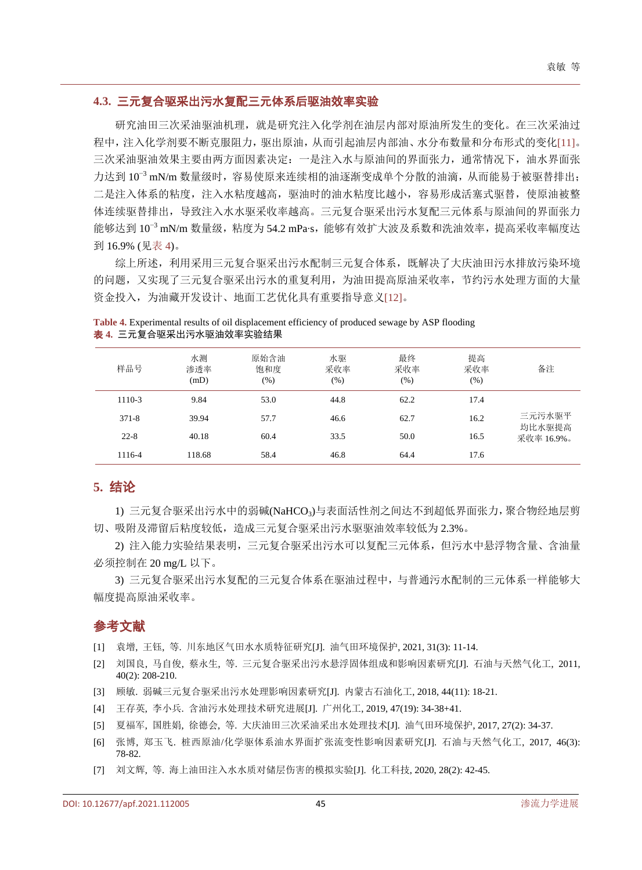#### **4.3.** 三元复合驱采出污水复配三元体系后驱油效率实验

研究油田三次采油驱油机理,就是研究注入化学剂在油层内部对原油所发生的变化。在三次采油过 程中,注入化学剂要不断克服阻力,驱出原油,从而引起油层内部油、水分布数量和分布形式的变化[\[11\]](#page-7-3)。 三次采油驱油效果主要由两方面因素决定:一是注入水与原油间的界面张力,通常情况下,油水界面张 力达到 10<sup>-3</sup> mN/m 数量级时,容易使原来连续相的油逐渐变成单个分散的油滴,从而能易于被驱替排出; 二是注入体系的粘度,注入水粘度越高,驱油时的油水粘度比越小,容易形成活塞式驱替,使原油被整 体连续驱替排出,导致注入水水驱采收率越高。三元复合驱采出污水复配三元体系与原油间的界面张力 能够达到  $10^{-3}$  mN/m 数量级, 粘度为 54.2 mPa·s, 能够有效扩大波及系数和洗油效率, 提高采收率幅度达 到 16.9% ([见表](#page-6-7) 4)。

综上所述,利用采用三元复合驱采出污水配制三元复合体系,既解决了大庆油田污水排放污染环境 的问题,又实现了三元复合驱采出污水的重复利用,为油田提高原油采收率,节约污水处理方面的大量 资金投入,为油藏开发设计、地面工艺优化具有重要指导意义[\[12\]](#page-7-4)。

| 样品号       | 水测<br>渗透率<br>(mD) | 原始含油<br>饱和度<br>(% ) | 水驱<br>采收率<br>(% ) | 最终<br>采收率<br>(% ) | 提高<br>采收率<br>(% ) | 备注                             |
|-----------|-------------------|---------------------|-------------------|-------------------|-------------------|--------------------------------|
| 1110-3    | 9.84              | 53.0                | 44.8              | 62.2              | 17.4              | 三元污水驱平<br>均比水驱提高<br>采收率 16.9%。 |
| $371 - 8$ | 39.94             | 57.7                | 46.6              | 62.7              | 16.2              |                                |
| $22 - 8$  | 40.18             | 60.4                | 33.5              | 50.0              | 16.5              |                                |
| 1116-4    | 118.68            | 58.4                | 46.8              | 64.4              | 17.6              |                                |

<span id="page-6-7"></span>**Table 4.** Experimental results of oil displacement efficiency of produced sewage by ASP flooding 表 **4.** 三元复合驱采出污水驱油效率实验结果

# **5.** 结论

1) 三元复合驱采出污水中的弱碱(NaHCO<sub>3</sub>)与表面活性剂之间达不到超低界面张力,聚合物经地层剪 切、吸附及滞留后粘度较低,造成三元复合驱采出污水驱驱油效率较低为 2.3%。

2) 注入能力实验结果表明,三元复合驱采出污水可以复配三元体系,但污水中悬浮物含量、含油量 必须控制在 20 mg/L 以下。

3) 三元复合驱采出污水复配的三元复合体系在驱油过程中,与普通污水配制的三元体系一样能够大 幅度提高原油采收率。

# 参考文献

- <span id="page-6-0"></span>[1] 袁增, 王钰, 等. 川东地区气田水水质特征研究[J]. 油气田环境保护, 2021, 31(3): 11-14.
- <span id="page-6-1"></span>[2] 刘国良, 马自俊, 蔡永生, 等. 三元复合驱采出污水悬浮固体组成和影响因素研究[J]. 石油与天然气化工, 2011, 40(2): 208-210.
- <span id="page-6-2"></span>[3] 顾敏. 弱碱三元复合驱采出污水处理影响因素研究[J]. 内蒙古石油化工, 2018, 44(11): 18-21.
- <span id="page-6-3"></span>[4] 王存英, 李小兵. 含油污水处理技术研究进展[J]. 广州化工, 2019, 47(19): 34-38+41.
- <span id="page-6-4"></span>[5] 夏福军, 国胜娟, 徐德会, 等. 大庆油田三次采油采出水处理技术[J]. 油气田环境保护, 2017, 27(2): 34-37.
- <span id="page-6-5"></span>[6] 张博, 郑玉飞. 桩西原油/化学驱体系油水界面扩张流变性影响因素研究[J]. 石油与天然气化工, 2017, 46(3): 78-82.
- <span id="page-6-6"></span>[7] 刘文辉, 等. 海上油田注入水水质对储层伤害的模拟实验[J]. 化工科技, 2020, 28(2): 42-45.